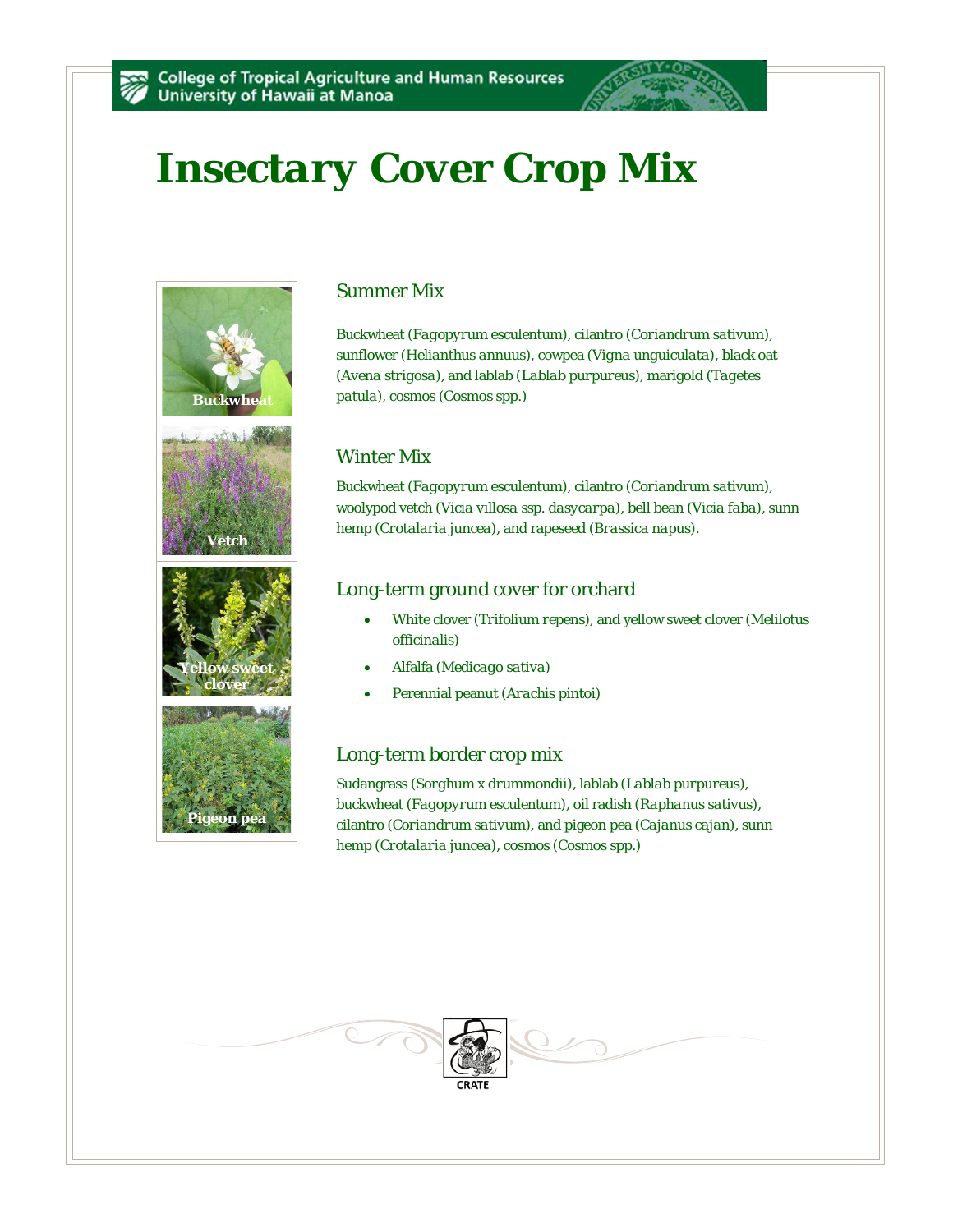# *Insectary Cover Crop Mix*









### Summer Mix

Buckwheat (*Fagopyrum esculentum*), cilantro (*Coriandrum sativum*), sunflower (*Helianthus annuus*), cowpea (*Vigna unguiculata*), black oat (*Avena strigosa*), and lablab (*Lablab purpureus*), marigold (*Tagetes patula*), cosmos (*Cosmos* spp.)

## Winter Mix

Buckwheat (*Fagopyrum esculentum*), cilantro (*Coriandrum sativum*), woolypod vetch (*Vicia villosa* ssp. *dasycarpa*), bell bean (*Vicia faba*), sunn hemp (*Crotalaria juncea*), and rapeseed (*Brassica napus*).

### Long-term ground cover for orchard

- White clover (*Trifolium repens*), and yellow sweet clover (*Melilotus officinalis*)
- Alfalfa (*Medicago sativa*)
- Perennial peanut (*Arachis pintoi*)

#### Long-term border crop mix

Sudangrass (*Sorghum x drummondii*), lablab (*Lablab purpureus*), buckwheat (*Fagopyrum esculentum*), oil radish (*Raphanus sativus*), cilantro (*Coriandrum sativum*), and pigeon pea (*Cajanus cajan*), sunn hemp (*Crotalaria juncea*), cosmos (*Cosmos* spp.)